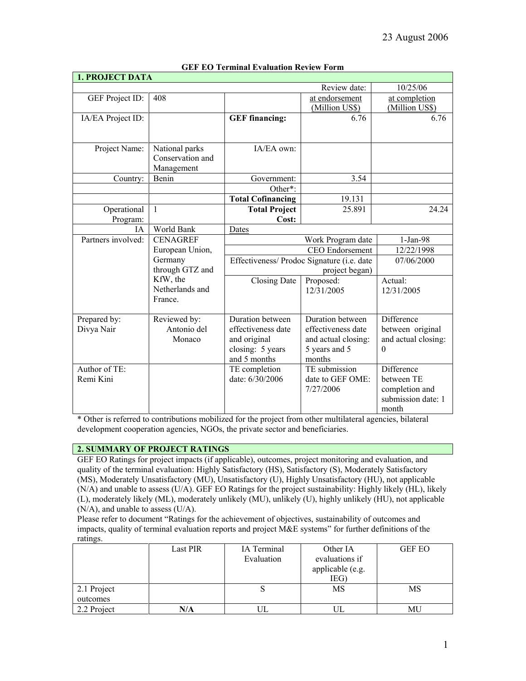| <b>1. PROJECT DATA</b> |                             |                                                              |                        |                     |
|------------------------|-----------------------------|--------------------------------------------------------------|------------------------|---------------------|
|                        |                             |                                                              | Review date:           | 10/25/06            |
| GEF Project ID:        | 408                         |                                                              | at endorsement         | at completion       |
|                        |                             |                                                              | (Million US\$)         | (Million US\$)      |
| IA/EA Project ID:      |                             | <b>GEF</b> financing:                                        | 6.76                   | 6.76                |
|                        |                             |                                                              |                        |                     |
|                        |                             |                                                              |                        |                     |
| Project Name:          | National parks              | IA/EA own:                                                   |                        |                     |
|                        | Conservation and            |                                                              |                        |                     |
|                        | Management                  |                                                              |                        |                     |
| Country:               | Benin                       | Government:                                                  | 3.54                   |                     |
|                        |                             | Other <sup>*</sup> :                                         |                        |                     |
|                        |                             | <b>Total Cofinancing</b>                                     | 19.131                 |                     |
| Operational            | $\mathbf{1}$                | <b>Total Project</b>                                         | 25.891                 | 24.24               |
| Program:               |                             | Cost:                                                        |                        |                     |
| IA.                    | World Bank                  | Dates                                                        |                        |                     |
| Partners involved:     | <b>CENAGREF</b>             |                                                              | Work Program date      | $1-Jan-98$          |
|                        | European Union,             |                                                              | <b>CEO</b> Endorsement | 12/22/1998          |
|                        | Germany                     | Effectiveness/ Prodoc Signature (i.e. date<br>project began) |                        | 07/06/2000          |
|                        | through GTZ and             |                                                              |                        |                     |
|                        | KfW, the<br>Netherlands and | <b>Closing Date</b>                                          | Proposed:              | Actual:             |
|                        | France.                     |                                                              | 12/31/2005             | 12/31/2005          |
|                        |                             |                                                              |                        |                     |
| Prepared by:           | Reviewed by:                | Duration between                                             | Duration between       | Difference          |
| Divya Nair             | Antonio del                 | effectiveness date                                           | effectiveness date     | between original    |
|                        | Monaco                      | and original                                                 | and actual closing:    | and actual closing: |
|                        |                             | closing: 5 years                                             | 5 years and 5          | $\Omega$            |
|                        |                             | and 5 months                                                 | months                 |                     |
| Author of TE:          |                             | TE completion                                                | TE submission          | Difference          |
| Remi Kini              |                             | date: 6/30/2006                                              | date to GEF OME:       | between TE          |
|                        |                             |                                                              | 7/27/2006              | completion and      |
|                        |                             |                                                              |                        | submission date: 1  |
|                        |                             |                                                              |                        | month               |

# **GEF EO Terminal Evaluation Review Form**

\* Other is referred to contributions mobilized for the project from other multilateral agencies, bilateral development cooperation agencies, NGOs, the private sector and beneficiaries.

# **2. SUMMARY OF PROJECT RATINGS**

GEF EO Ratings for project impacts (if applicable), outcomes, project monitoring and evaluation, and quality of the terminal evaluation: Highly Satisfactory (HS), Satisfactory (S), Moderately Satisfactory (MS), Moderately Unsatisfactory (MU), Unsatisfactory (U), Highly Unsatisfactory (HU), not applicable (N/A) and unable to assess (U/A). GEF EO Ratings for the project sustainability: Highly likely (HL), likely (L), moderately likely (ML), moderately unlikely (MU), unlikely (U), highly unlikely (HU), not applicable (N/A), and unable to assess (U/A).

Please refer to document "Ratings for the achievement of objectives, sustainability of outcomes and impacts, quality of terminal evaluation reports and project M&E systems" for further definitions of the ratings.

|             | <b>Last PIR</b> | IA Terminal | Other IA         | <b>GEF EO</b> |
|-------------|-----------------|-------------|------------------|---------------|
|             |                 | Evaluation  | evaluations if   |               |
|             |                 |             | applicable (e.g. |               |
|             |                 |             | IEG)             |               |
| 2.1 Project |                 |             | MS               | MS            |
| outcomes    |                 |             |                  |               |
| 2.2 Project | N/A             |             |                  | MU            |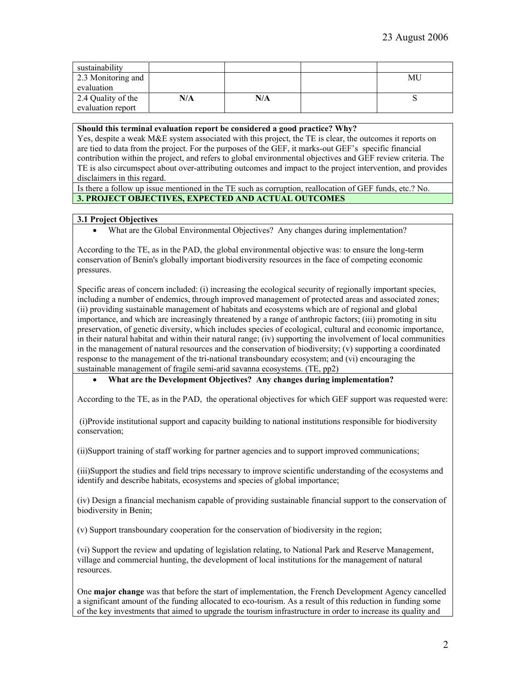| sustainability     |     |     |    |
|--------------------|-----|-----|----|
| 2.3 Monitoring and |     |     | МU |
| evaluation         |     |     |    |
| 2.4 Quality of the | N/A | N/A |    |
| evaluation report  |     |     |    |

#### **Should this terminal evaluation report be considered a good practice? Why?**

Yes, despite a weak M&E system associated with this project, the TE is clear, the outcomes it reports on are tied to data from the project. For the purposes of the GEF, it marks-out GEF's specific financial contribution within the project, and refers to global environmental objectives and GEF review criteria. The TE is also circumspect about over-attributing outcomes and impact to the project intervention, and provides disclaimers in this regard.

Is there a follow up issue mentioned in the TE such as corruption, reallocation of GEF funds, etc.? No. **3. PROJECT OBJECTIVES, EXPECTED AND ACTUAL OUTCOMES**

## **3.1 Project Objectives**

According to the TE, as in the PAD, the global environmental objective was: to ensure the long-term conservation of Benin's globally important biodiversity resources in the face of competing economic pressures.

Specific areas of concern included: (i) increasing the ecological security of regionally important species, including a number of endemics, through improved management of protected areas and associated zones; (ii) providing sustainable management of habitats and ecosystems which are of regional and global importance, and which are increasingly threatened by a range of anthropic factors; (iii) promoting in situ preservation, of genetic diversity, which includes species of ecological, cultural and economic importance, in their natural habitat and within their natural range; (iv) supporting the involvement of local communities in the management of natural resources and the conservation of biodiversity; (v) supporting a coordinated response to the management of the tri-national transboundary ecosystem; and (vi) encouraging the sustainable management of fragile semi-arid savanna ecosystems. (TE, pp2)

## • **What are the Development Objectives? Any changes during implementation?**

According to the TE, as in the PAD, the operational objectives for which GEF support was requested were:

(i)Provide institutional support and capacity building to national institutions responsible for biodiversity conservation;

(ii)Support training of staff working for partner agencies and to support improved communications;

(iii)Support the studies and field trips necessary to improve scientific understanding of the ecosystems and identify and describe habitats, ecosystems and species of global importance;

(iv) Design a financial mechanism capable of providing sustainable financial support to the conservation of biodiversity in Benin;

(v) Support transboundary cooperation for the conservation of biodiversity in the region;

(vi) Support the review and updating of legislation relating, to National Park and Reserve Management, village and commercial hunting, the development of local institutions for the management of natural resources.

One **major change** was that before the start of implementation, the French Development Agency cancelled a significant amount of the funding allocated to eco-tourism. As a result of this reduction in funding some of the key investments that aimed to upgrade the tourism infrastructure in order to increase its quality and

<sup>•</sup> What are the Global Environmental Objectives? Any changes during implementation?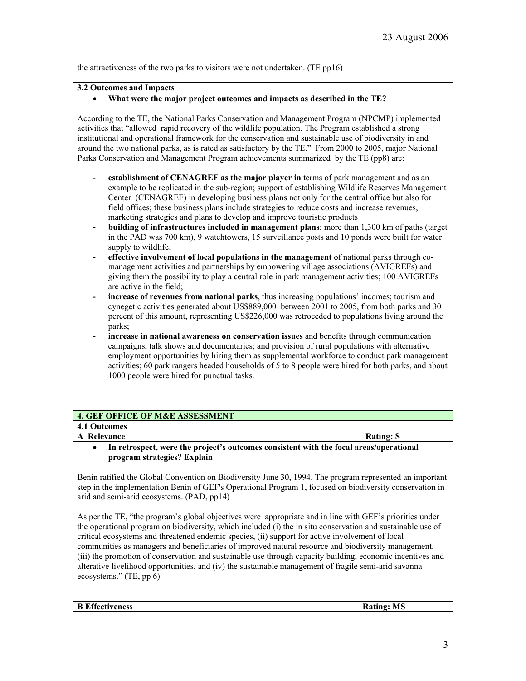the attractiveness of the two parks to visitors were not undertaken. (TE pp16)

## **3.2 Outcomes and Impacts**

## • **What were the major project outcomes and impacts as described in the TE?**

According to the TE, the National Parks Conservation and Management Program (NPCMP) implemented activities that "allowed rapid recovery of the wildlife population. The Program established a strong institutional and operational framework for the conservation and sustainable use of biodiversity in and around the two national parks, as is rated as satisfactory by the TE." From 2000 to 2005, major National Parks Conservation and Management Program achievements summarized by the TE (pp8) are:

- **- establishment of CENAGREF as the major player in** terms of park management and as an example to be replicated in the sub-region; support of establishing Wildlife Reserves Management Center (CENAGREF) in developing business plans not only for the central office but also for field offices; these business plans include strategies to reduce costs and increase revenues, marketing strategies and plans to develop and improve touristic products
- **- building of infrastructures included in management plans**; more than 1,300 km of paths (target in the PAD was 700 km), 9 watchtowers, 15 surveillance posts and 10 ponds were built for water supply to wildlife;
- **- effective involvement of local populations in the management** of national parks through comanagement activities and partnerships by empowering village associations (AVIGREFs) and giving them the possibility to play a central role in park management activities; 100 AVIGREFs are active in the field;
- **- increase of revenues from national parks**, thus increasing populations' incomes; tourism and cynegetic activities generated about US\$889,000 between 2001 to 2005, from both parks and 30 percent of this amount, representing US\$226,000 was retroceded to populations living around the parks;
- **- increase in national awareness on conservation issues** and benefits through communication campaigns, talk shows and documentaries; and provision of rural populations with alternative employment opportunities by hiring them as supplemental workforce to conduct park management activities; 60 park rangers headed households of 5 to 8 people were hired for both parks, and about 1000 people were hired for punctual tasks.

## **4. GEF OFFICE OF M&E ASSESSMENT**

## **4.1 Outcomes A** Relevance Rating: S

# • **In retrospect, were the project's outcomes consistent with the focal areas/operational program strategies? Explain**

Benin ratified the Global Convention on Biodiversity June 30, 1994. The program represented an important step in the implementation Benin of GEF's Operational Program 1, focused on biodiversity conservation in arid and semi-arid ecosystems. (PAD, pp14)

As per the TE, "the program's global objectives were appropriate and in line with GEF's priorities under the operational program on biodiversity, which included (i) the in situ conservation and sustainable use of critical ecosystems and threatened endemic species, (ii) support for active involvement of local communities as managers and beneficiaries of improved natural resource and biodiversity management, (iii) the promotion of conservation and sustainable use through capacity building, economic incentives and alterative livelihood opportunities, and (iv) the sustainable management of fragile semi-arid savanna ecosystems." (TE, pp 6)

**B Effectiveness** Rating: MS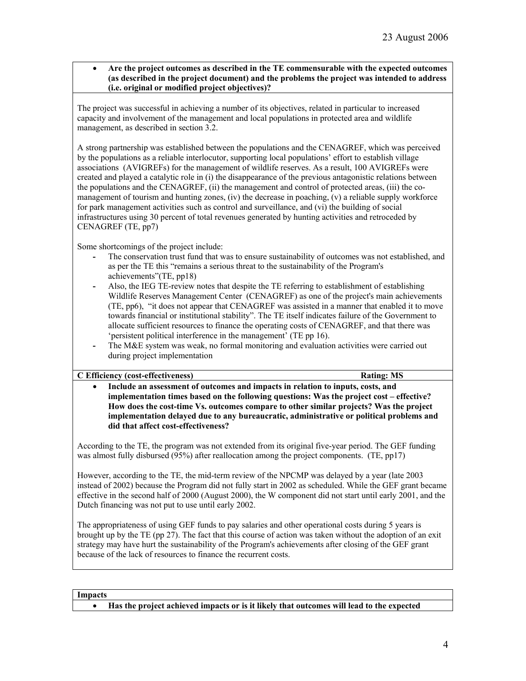## • **Are the project outcomes as described in the TE commensurable with the expected outcomes (as described in the project document) and the problems the project was intended to address (i.e. original or modified project objectives)?**

The project was successful in achieving a number of its objectives, related in particular to increased capacity and involvement of the management and local populations in protected area and wildlife management, as described in section 3.2.

A strong partnership was established between the populations and the CENAGREF, which was perceived by the populations as a reliable interlocutor, supporting local populations' effort to establish village associations (AVIGREFs) for the management of wildlife reserves. As a result, 100 AVIGREFs were created and played a catalytic role in (i) the disappearance of the previous antagonistic relations between the populations and the CENAGREF, (ii) the management and control of protected areas, (iii) the comanagement of tourism and hunting zones, (iv) the decrease in poaching,  $(v)$  a reliable supply workforce for park management activities such as control and surveillance, and (vi) the building of social infrastructures using 30 percent of total revenues generated by hunting activities and retroceded by CENAGREF (TE, pp7)

Some shortcomings of the project include:

- **-** The conservation trust fund that was to ensure sustainability of outcomes was not established, and as per the TE this "remains a serious threat to the sustainability of the Program's achievements"(TE, pp18)
- **-** Also, the IEG TE-review notes that despite the TE referring to establishment of establishing Wildlife Reserves Management Center (CENAGREF) as one of the project's main achievements (TE, pp6), "it does not appear that CENAGREF was assisted in a manner that enabled it to move towards financial or institutional stability". The TE itself indicates failure of the Government to allocate sufficient resources to finance the operating costs of CENAGREF, and that there was 'persistent political interference in the management' (TE pp 16).
- **-** The M&E system was weak, no formal monitoring and evaluation activities were carried out during project implementation

## **C Efficiency (cost-effectiveness) Rating: MS**

• **Include an assessment of outcomes and impacts in relation to inputs, costs, and implementation times based on the following questions: Was the project cost – effective? How does the cost-time Vs. outcomes compare to other similar projects? Was the project implementation delayed due to any bureaucratic, administrative or political problems and did that affect cost-effectiveness?** 

According to the TE, the program was not extended from its original five-year period. The GEF funding was almost fully disbursed (95%) after reallocation among the project components. (TE, pp17)

However, according to the TE, the mid-term review of the NPCMP was delayed by a year (late 2003 instead of 2002) because the Program did not fully start in 2002 as scheduled. While the GEF grant became effective in the second half of 2000 (August 2000), the W component did not start until early 2001, and the Dutch financing was not put to use until early 2002.

The appropriateness of using GEF funds to pay salaries and other operational costs during 5 years is brought up by the TE (pp 27). The fact that this course of action was taken without the adoption of an exit strategy may have hurt the sustainability of the Program's achievements after closing of the GEF grant because of the lack of resources to finance the recurrent costs.

**Impacts**

• **Has the project achieved impacts or is it likely that outcomes will lead to the expected**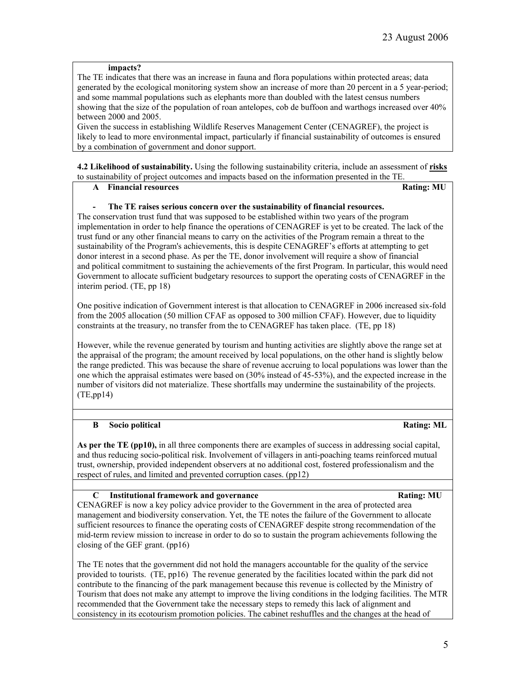#### **impacts?**

The TE indicates that there was an increase in fauna and flora populations within protected areas; data generated by the ecological monitoring system show an increase of more than 20 percent in a 5 year-period; and some mammal populations such as elephants more than doubled with the latest census numbers showing that the size of the population of roan antelopes, cob de buffoon and warthogs increased over 40% between 2000 and 2005.

Given the success in establishing Wildlife Reserves Management Center (CENAGREF), the project is likely to lead to more environmental impact, particularly if financial sustainability of outcomes is ensured by a combination of government and donor support.

**4.2 Likelihood of sustainability.** Using the following sustainability criteria, include an assessment of **risks** to sustainability of project outcomes and impacts based on the information presented in the TE.

## **A** Financial resources **Rating: MU**

## **- The TE raises serious concern over the sustainability of financial resources.**

The conservation trust fund that was supposed to be established within two years of the program implementation in order to help finance the operations of CENAGREF is yet to be created. The lack of the trust fund or any other financial means to carry on the activities of the Program remain a threat to the sustainability of the Program's achievements, this is despite CENAGREF's efforts at attempting to get donor interest in a second phase. As per the TE, donor involvement will require a show of financial and political commitment to sustaining the achievements of the first Program. In particular, this would need Government to allocate sufficient budgetary resources to support the operating costs of CENAGREF in the interim period. (TE, pp 18)

One positive indication of Government interest is that allocation to CENAGREF in 2006 increased six-fold from the 2005 allocation (50 million CFAF as opposed to 300 million CFAF). However, due to liquidity constraints at the treasury, no transfer from the to CENAGREF has taken place. (TE, pp 18)

However, while the revenue generated by tourism and hunting activities are slightly above the range set at the appraisal of the program; the amount received by local populations, on the other hand is slightly below the range predicted. This was because the share of revenue accruing to local populations was lower than the one which the appraisal estimates were based on (30% instead of 45-53%), and the expected increase in the number of visitors did not materialize. These shortfalls may undermine the sustainability of the projects. (TE,pp14)

## **B** Socio political Rating: ML

**As per the TE (pp10),** in all three components there are examples of success in addressing social capital, and thus reducing socio-political risk. Involvement of villagers in anti-poaching teams reinforced mutual trust, ownership, provided independent observers at no additional cost, fostered professionalism and the respect of rules, and limited and prevented corruption cases. (pp12)

## **C** Institutional framework and governance **Rating: MU** Rating: MU

CENAGREF is now a key policy advice provider to the Government in the area of protected area management and biodiversity conservation. Yet, the TE notes the failure of the Government to allocate sufficient resources to finance the operating costs of CENAGREF despite strong recommendation of the mid-term review mission to increase in order to do so to sustain the program achievements following the closing of the GEF grant. (pp16)

The TE notes that the government did not hold the managers accountable for the quality of the service provided to tourists. (TE, pp16) The revenue generated by the facilities located within the park did not contribute to the financing of the park management because this revenue is collected by the Ministry of Tourism that does not make any attempt to improve the living conditions in the lodging facilities. The MTR recommended that the Government take the necessary steps to remedy this lack of alignment and consistency in its ecotourism promotion policies. The cabinet reshuffles and the changes at the head of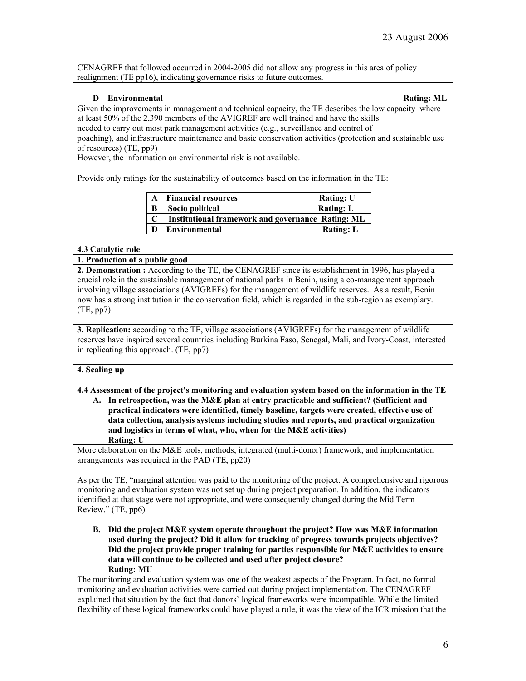CENAGREF that followed occurred in 2004-2005 did not allow any progress in this area of policy realignment (TE pp16), indicating governance risks to future outcomes.

## **D Environmental Rating: ML**

Given the improvements in management and technical capacity, the TE describes the low capacity where at least 50% of the 2,390 members of the AVIGREF are well trained and have the skills needed to carry out most park management activities (e.g., surveillance and control of poaching), and infrastructure maintenance and basic conservation activities (protection and sustainable use of resources) (TE, pp9)

However, the information on environmental risk is not available.

Provide only ratings for the sustainability of outcomes based on the information in the TE:

| $\mathbf{A}$ | <b>Financial resources</b>                               | <b>Rating: U</b> |
|--------------|----------------------------------------------------------|------------------|
| B            | Socio political                                          | <b>Rating: L</b> |
|              | <b>Institutional framework and governance Rating: ML</b> |                  |
| D            | Environmental                                            | <b>Rating: L</b> |

## **4.3 Catalytic role**

## **1. Production of a public good**

**2. Demonstration :** According to the TE, the CENAGREF since its establishment in 1996, has played a crucial role in the sustainable management of national parks in Benin, using a co-management approach involving village associations (AVIGREFs) for the management of wildlife reserves. As a result, Benin now has a strong institution in the conservation field, which is regarded in the sub-region as exemplary. (TE, pp7)

**3. Replication:** according to the TE, village associations (AVIGREFs) for the management of wildlife reserves have inspired several countries including Burkina Faso, Senegal, Mali, and Ivory-Coast, interested in replicating this approach. (TE, pp7)

## **4. Scaling up**

## **4.4 Assessment of the project's monitoring and evaluation system based on the information in the TE**

**A. In retrospection, was the M&E plan at entry practicable and sufficient? (Sufficient and practical indicators were identified, timely baseline, targets were created, effective use of data collection, analysis systems including studies and reports, and practical organization and logistics in terms of what, who, when for the M&E activities) Rating: U**

More elaboration on the M&E tools, methods, integrated (multi-donor) framework, and implementation arrangements was required in the PAD (TE, pp20)

As per the TE, "marginal attention was paid to the monitoring of the project. A comprehensive and rigorous monitoring and evaluation system was not set up during project preparation. In addition, the indicators identified at that stage were not appropriate, and were consequently changed during the Mid Term Review." (TE, pp6)

**B. Did the project M&E system operate throughout the project? How was M&E information used during the project? Did it allow for tracking of progress towards projects objectives? Did the project provide proper training for parties responsible for M&E activities to ensure data will continue to be collected and used after project closure? Rating: MU**

The monitoring and evaluation system was one of the weakest aspects of the Program. In fact, no formal monitoring and evaluation activities were carried out during project implementation. The CENAGREF explained that situation by the fact that donors' logical frameworks were incompatible. While the limited flexibility of these logical frameworks could have played a role, it was the view of the ICR mission that the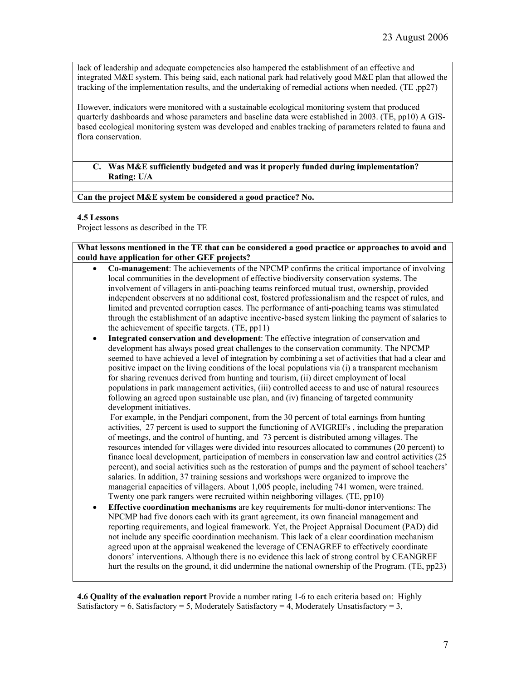lack of leadership and adequate competencies also hampered the establishment of an effective and integrated M&E system. This being said, each national park had relatively good M&E plan that allowed the tracking of the implementation results, and the undertaking of remedial actions when needed. (TE ,pp27)

However, indicators were monitored with a sustainable ecological monitoring system that produced quarterly dashboards and whose parameters and baseline data were established in 2003. (TE, pp10) A GISbased ecological monitoring system was developed and enables tracking of parameters related to fauna and flora conservation.

## **C. Was M&E sufficiently budgeted and was it properly funded during implementation? Rating: U/A**

## **Can the project M&E system be considered a good practice? No.**

## **4.5 Lessons**

Project lessons as described in the TE

**What lessons mentioned in the TE that can be considered a good practice or approaches to avoid and could have application for other GEF projects?**

- **Co-management**: The achievements of the NPCMP confirms the critical importance of involving local communities in the development of effective biodiversity conservation systems. The involvement of villagers in anti-poaching teams reinforced mutual trust, ownership, provided independent observers at no additional cost, fostered professionalism and the respect of rules, and limited and prevented corruption cases. The performance of anti-poaching teams was stimulated through the establishment of an adaptive incentive-based system linking the payment of salaries to the achievement of specific targets. (TE, pp11)
- **Integrated conservation and development**: The effective integration of conservation and development has always posed great challenges to the conservation community. The NPCMP seemed to have achieved a level of integration by combining a set of activities that had a clear and positive impact on the living conditions of the local populations via (i) a transparent mechanism for sharing revenues derived from hunting and tourism, (ii) direct employment of local populations in park management activities, (iii) controlled access to and use of natural resources following an agreed upon sustainable use plan, and (iv) financing of targeted community development initiatives.

For example, in the Pendjari component, from the 30 percent of total earnings from hunting activities, 27 percent is used to support the functioning of AVIGREFs , including the preparation of meetings, and the control of hunting, and 73 percent is distributed among villages. The resources intended for villages were divided into resources allocated to communes (20 percent) to finance local development, participation of members in conservation law and control activities (25 percent), and social activities such as the restoration of pumps and the payment of school teachers' salaries. In addition, 37 training sessions and workshops were organized to improve the managerial capacities of villagers. About 1,005 people, including 741 women, were trained. Twenty one park rangers were recruited within neighboring villages. (TE, pp10)

• **Effective coordination mechanisms** are key requirements for multi-donor interventions: The NPCMP had five donors each with its grant agreement, its own financial management and reporting requirements, and logical framework. Yet, the Project Appraisal Document (PAD) did not include any specific coordination mechanism. This lack of a clear coordination mechanism agreed upon at the appraisal weakened the leverage of CENAGREF to effectively coordinate donors' interventions. Although there is no evidence this lack of strong control by CEANGREF hurt the results on the ground, it did undermine the national ownership of the Program. (TE, pp23)

**4.6 Quality of the evaluation report** Provide a number rating 1-6 to each criteria based on: Highly Satisfactory = 6, Satisfactory = 5, Moderately Satisfactory = 4, Moderately Unsatisfactory = 3,